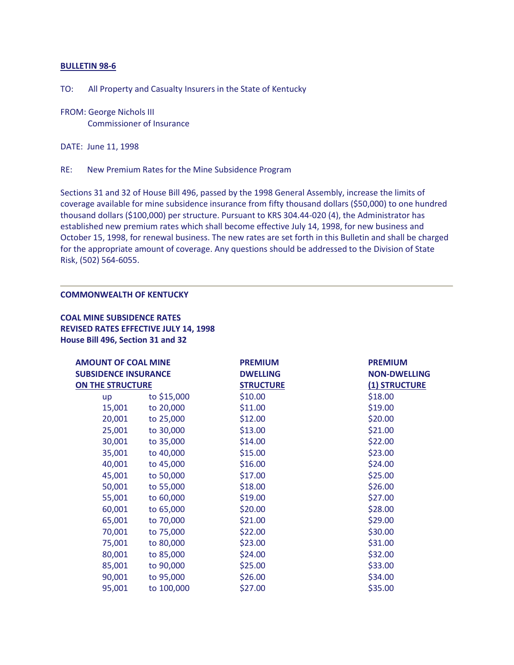## **BULLETIN 98-6**

TO: All Property and Casualty Insurers in the State of Kentucky

FROM: George Nichols III Commissioner of Insurance

DATE: June 11, 1998

RE: New Premium Rates for the Mine Subsidence Program

Sections 31 and 32 of House Bill 496, passed by the 1998 General Assembly, increase the limits of coverage available for mine subsidence insurance from fifty thousand dollars (\$50,000) to one hundred thousand dollars (\$100,000) per structure. Pursuant to KRS 304.44-020 (4), the Administrator has established new premium rates which shall become effective July 14, 1998, for new business and October 15, 1998, for renewal business. The new rates are set forth in this Bulletin and shall be charged for the appropriate amount of coverage. Any questions should be addressed to the Division of State Risk, (502) 564-6055.

## **COMMONWEALTH OF KENTUCKY**

**COAL MINE SUBSIDENCE RATES REVISED RATES EFFECTIVE JULY 14, 1998 House Bill 496, Section 31 and 32** 

| <b>AMOUNT OF COAL MINE</b><br><b>SUBSIDENCE INSURANCE</b><br>ON THE STRUCTURE |            | <b>PREMIUM</b><br><b>DWELLING</b><br><b>STRUCTURE</b> | <b>PREMIUM</b><br><b>NON-DWELLING</b><br>(1) STRUCTURE |        |             |         |         |
|-------------------------------------------------------------------------------|------------|-------------------------------------------------------|--------------------------------------------------------|--------|-------------|---------|---------|
|                                                                               |            |                                                       |                                                        | up     | to \$15,000 | \$10.00 | \$18.00 |
|                                                                               |            |                                                       |                                                        | 15,001 | to 20,000   | \$11.00 | \$19.00 |
| 20,001                                                                        | to 25,000  | \$12.00                                               | \$20.00                                                |        |             |         |         |
| 25,001                                                                        | to 30,000  | \$13.00                                               | \$21.00                                                |        |             |         |         |
| 30,001                                                                        | to 35,000  | \$14.00                                               | \$22.00                                                |        |             |         |         |
| 35,001                                                                        | to 40,000  | \$15.00                                               | \$23.00                                                |        |             |         |         |
| 40,001                                                                        | to 45,000  | \$16.00                                               | \$24.00                                                |        |             |         |         |
| 45,001                                                                        | to 50,000  | \$17.00                                               | \$25.00                                                |        |             |         |         |
| 50,001                                                                        | to 55,000  | \$18.00                                               | \$26.00                                                |        |             |         |         |
| 55,001                                                                        | to 60,000  | \$19.00                                               | \$27.00                                                |        |             |         |         |
| 60,001                                                                        | to 65,000  | \$20.00                                               | \$28.00                                                |        |             |         |         |
| 65,001                                                                        | to 70,000  | \$21.00                                               | \$29.00                                                |        |             |         |         |
| 70,001                                                                        | to 75,000  | \$22.00                                               | \$30.00                                                |        |             |         |         |
| 75,001                                                                        | to 80,000  | \$23.00                                               | \$31.00                                                |        |             |         |         |
| 80,001                                                                        | to 85,000  | \$24.00                                               | \$32.00                                                |        |             |         |         |
| 85,001                                                                        | to 90,000  | \$25.00                                               | \$33.00                                                |        |             |         |         |
| 90,001                                                                        | to 95,000  | \$26.00                                               | \$34.00                                                |        |             |         |         |
| 95,001                                                                        | to 100,000 | \$27.00                                               | \$35.00                                                |        |             |         |         |